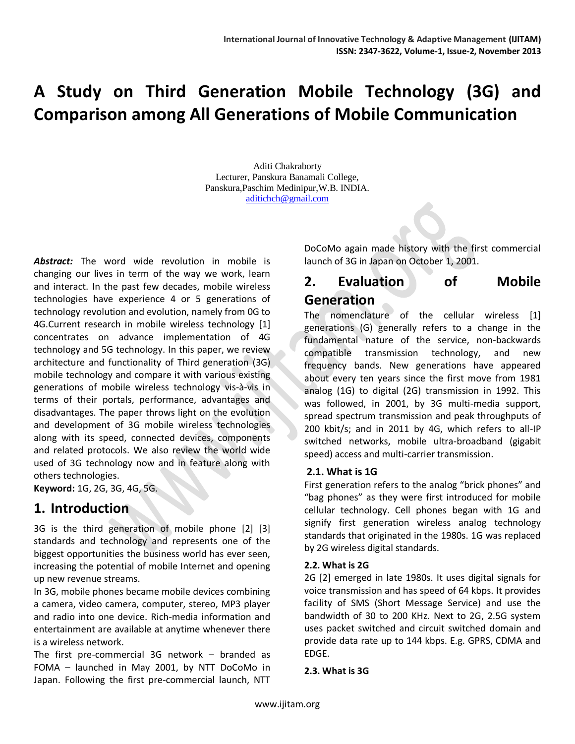# **A Study on Third Generation Mobile Technology (3G) and Comparison among All Generations of Mobile Communication**

 Aditi Chakraborty Lecturer, Panskura Banamali College, Panskura,Paschim Medinipur,W.B. INDIA. [aditichch@gmail.com](mailto:aditichch@gmail.com)

*Abstract:* The word wide revolution in mobile is changing our lives in term of the way we work, learn and interact. In the past few decades, mobile wireless technologies have experience 4 or 5 generations of technology revolution and evolution, namely from 0G to 4G.Current research in mobile wireless technology [1] concentrates on advance implementation of 4G technology and 5G technology. In this paper, we review architecture and functionality of Third generation (3G) mobile technology and compare it with various existing generations of mobile wireless technology vis-à-vis in terms of their portals, performance, advantages and disadvantages. The paper throws light on the evolution and development of 3G mobile wireless technologies along with its speed, connected devices, components and related protocols. We also review the world wide used of 3G technology now and in feature along with others technologies.

**Keyword:** 1G, 2G, 3G, 4G, 5G.

### **1. Introduction**

3G is the third generation of mobile phone [2] [3] standards and technology and represents one of the biggest opportunities the business world has ever seen, increasing the potential of mobile Internet and opening up new revenue streams.

In 3G, mobile phones became mobile devices combining a camera, video camera, computer, stereo, MP3 player and radio into one device. Rich-media information and entertainment are available at anytime whenever there is a wireless network.

The first pre-commercial 3G network – branded as FOMA – launched in May 2001, by NTT DoCoMo in Japan. Following the first pre-commercial launch, NTT DoCoMo again made history with the first commercial launch of 3G in Japan on October 1, 2001.

# **2. Evaluation of Mobile Generation**

The nomenclature of the cellular wireless [1] generations (G) generally refers to a change in the fundamental nature of the service, non-backwards compatible transmission technology, and new frequency bands. New generations have appeared about every ten years since the first move from 1981 analog (1G) to digital (2G) transmission in 1992. This was followed, in 2001, by 3G multi-media support, spread spectrum transmission and peak throughputs of 200 kbit/s; and in 2011 by 4G, which refers to all-IP switched networks, mobile ultra-broadband (gigabit speed) access and multi-carrier transmission.

#### **2.1. What is 1G**

First generation refers to the analog "brick phones" and "bag phones" as they were first introduced for mobile cellular technology. Cell phones began with 1G and signify first generation wireless analog technology standards that originated in the 1980s. 1G was replaced by 2G wireless digital standards.

#### **2.2. What is 2G**

2G [2] emerged in late 1980s. It uses digital signals for voice transmission and has speed of 64 kbps. It provides facility of SMS (Short Message Service) and use the bandwidth of 30 to 200 KHz. Next to 2G, 2.5G system uses packet switched and circuit switched domain and provide data rate up to 144 kbps. E.g. GPRS, CDMA and EDGE.

**2.3. What is 3G**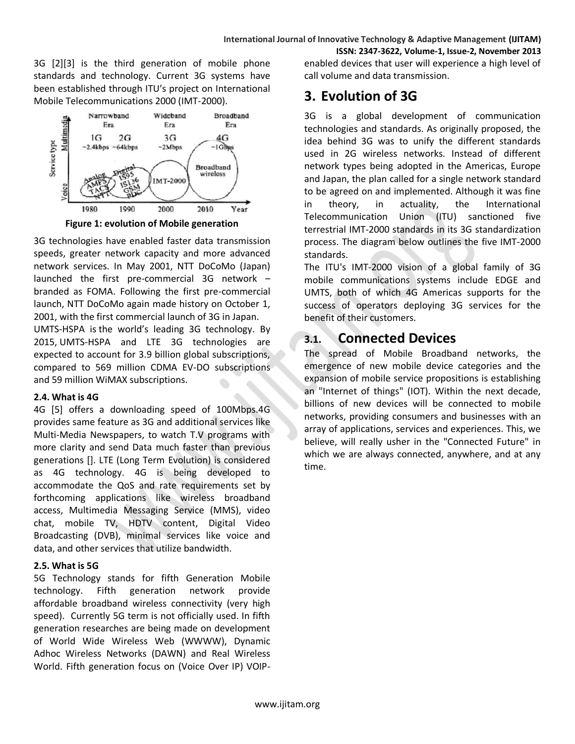3G [2][3] is the third generation of mobile phone standards and technology. Current 3G systems have been established through ITU's project on International Mobile Telecommunications 2000 (IMT-2000).



**Figure 1: evolution of Mobile generation**

3G technologies have enabled faster data transmission speeds, greater network capacity and more advanced network services. In May 2001, NTT DoCoMo (Japan) launched the first pre-commercial 3G network – branded as FOMA. Following the first pre-commercial launch, NTT DoCoMo again made history on October 1, 2001, with the first commercial launch of 3G in Japan.

UMTS-HSPA is the world's leading 3G technology. [By](http://www.4gamericas.org/index.cfm?fuseaction=page&pageid=1781)  [2015,](http://www.4gamericas.org/index.cfm?fuseaction=page&pageid=1781) UMTS-HSPA and LTE 3G technologies are expected to account for 3.9 billion global subscriptions, compared to 569 million CDMA EV-DO subscriptions and 59 million WiMAX subscriptions.

#### **2.4. What is 4G**

4G [5] offers a downloading speed of 100Mbps.4G provides same feature as 3G and additional services like Multi-Media Newspapers, to watch T.V programs with more clarity and send Data much faster than previous generations []. LTE (Long Term Evolution) is considered as 4G technology. 4G is being developed to accommodate the QoS and rate requirements set by forthcoming applications like wireless broadband access, Multimedia Messaging Service (MMS), video chat, mobile TV, HDTV content, Digital Video Broadcasting (DVB), minimal services like voice and data, and other services that utilize bandwidth.

#### **2.5. What is 5G**

5G Technology stands for fifth Generation Mobile technology. Fifth generation network provide affordable broadband wireless connectivity (very high speed). Currently 5G term is not officially used. In fifth generation researches are being made on development of World Wide Wireless Web (WWWW), Dynamic Adhoc Wireless Networks (DAWN) and Real Wireless World. Fifth generation focus on (Voice Over IP) VOIP-

**ISSN: 2347-3622, Volume-1, Issue-2, November 2013** enabled devices that user will experience a high level of call volume and data transmission.

# **3. Evolution of 3G**

3G is a global development of communication technologies and standards. As originally proposed, the idea behind 3G was to unify the different standards used in 2G wireless networks. Instead of different network types being adopted in the Americas, Europe and Japan, the plan called for a single network standard to be agreed on and implemented. Although it was fine in theory, in actuality, the International Telecommunication Union [\(ITU\)](http://www.itu.int/) sanctioned five terrestrial IMT-2000 standards in its 3G standardization process. The diagram below outlines the five IMT-2000 standards.

The ITU's IMT-2000 vision of a global family of 3G mobile communications systems include EDGE and UMTS, both of which 4G Americas supports for the success of operators deploying 3G services for the benefit of their customers.

# **3.1. Connected Devices**

The spread of Mobile Broadband networks, the emergence of new mobile device categories and the expansion of mobile service propositions is establishing an "Internet of things" (IOT). Within the next decade, billions of new devices will be connected to mobile networks, providing consumers and businesses with an array of applications, services and experiences. This, we believe, will really usher in the "Connected Future" in which we are always connected, anywhere, and at any time.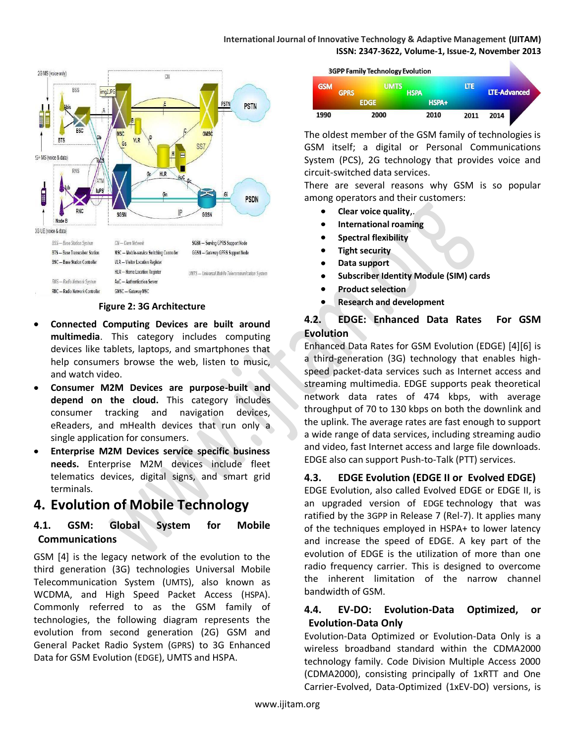#### **International Journal of Innovative Technology & Adaptive Management (IJITAM) ISSN: 2347-3622, Volume-1, Issue-2, November 2013**



#### **Figure 2: 3G Architecture**

- **Connected Computing Devices are built around multimedia**. This category includes computing devices like tablets, laptops, and smartphones that help consumers browse the web, listen to music, and watch video.
- **Consumer M2M Devices are purpose-built and depend on the cloud.** This category includes consumer tracking and navigation devices, eReaders, and mHealth devices that run only a single application for consumers.
- **Enterprise M2M Devices service specific business**   $\bullet$ **needs.** Enterprise M2M devices include fleet telematics devices, digital signs, and smart grid terminals.

## **4. Evolution of Mobile Technology**

#### **4.1. GSM: Global System for Mobile Communications**

GSM [4] is the legacy network of the evolution to the third generation (3G) technologies Universal Mobile Telecommunication System ([UMTS](http://www.4gamericas.org/index.cfm?fuseaction=page§ionid=246)), also known as WCDMA, and High Speed Packet Access ([HSPA](http://www.4gamericas.org/index.cfm?fuseaction=page§ionid=247)). Commonly referred to as the GSM family of technologies, the following diagram represents the evolution from second generation (2G) GSM and General Packet Radio System ([GPRS](http://www.4gamericas.org/index.cfm?fuseaction=page§ionid=243)) to 3G Enhanced Data for GSM Evolution ([EDGE](http://www.4gamericas.org/index.cfm?fuseaction=page§ionid=244)), UMTS and HSPA.



The oldest member of the GSM family of technologies is GSM itself; a digital or Personal Communications System (PCS), 2G technology that provides voice and circuit-switched data services.

There are several reasons why GSM is so popular among operators and their customers:

- **Clear voice quality**,.  $\bullet$
- **International roaming**   $\bullet$
- $\bullet$ **Spectral flexibility**
- **Tight security**  $\bullet$
- **Data support**
- **Subscriber Identity Module (SIM) cards**  $\bullet$
- **Product selection**
- **Research and development**   $\bullet$

#### **4.2. EDGE: Enhanced Data Rates For GSM Evolution**

Enhanced Data Rates for GSM Evolution (EDGE) [4][6] is a third-generation (3G) technology that enables highspeed packet-data services such as Internet access and streaming multimedia. EDGE supports peak theoretical network data rates of 474 kbps, with average throughput of 70 to 130 kbps on both the downlink and the uplink. The average rates are fast enough to support a wide range of data services, including streaming audio and video, fast Internet access and large file downloads. EDGE also can support Push-to-Talk (PTT) services.

#### **4.3. EDGE Evolution (EDGE II or Evolved EDGE)**

EDGE Evolution, also called Evolved EDGE or EDGE II, is an upgraded version of [EDGE](http://www.4gamericas.org/index.cfm?fuseaction=page§ionid=244) technology that was ratified by the [3GPP](http://www.3gpp.org/) in Release 7 (Rel-7). It applies many of the techniques employed in HSPA+ to lower latency and increase the speed of EDGE. A key part of the evolution of EDGE is the utilization of more than one radio frequency carrier. This is designed to overcome the inherent limitation of the narrow channel bandwidth of GSM.

#### **4.4. EV-DO: Evolution-Data Optimized, or Evolution-Data Only**

Evolution-Data Optimized or Evolution-Data Only is a wireless broadband standard within the CDMA2000 technology family. Code Division Multiple Access 2000 (CDMA2000), consisting principally of 1xRTT and One Carrier-Evolved, Data-Optimized (1xEV-DO) versions, is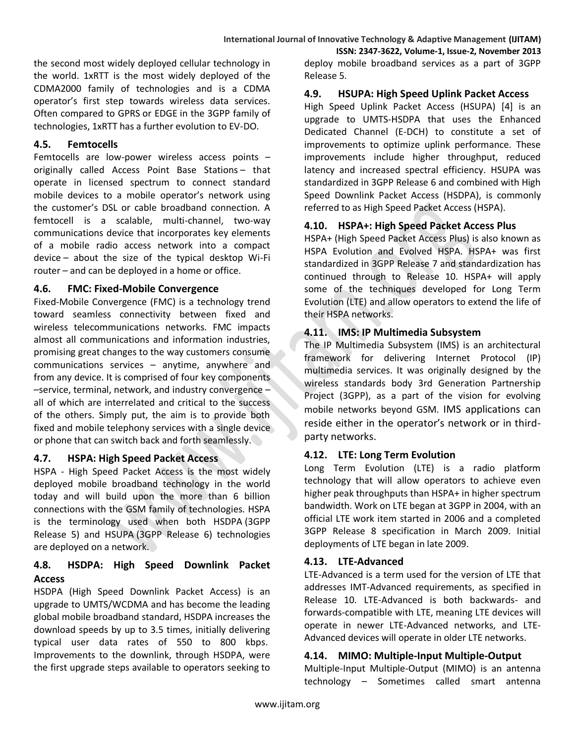the second most widely deployed cellular technology in the world. 1xRTT is the most widely deployed of the CDMA2000 family of technologies and is a CDMA operator's first step towards wireless data services. Often compared to [GPRS](http://www.4gamericas.org/index.cfm?fuseaction=page§ionid=243) or [EDGE](http://www.4gamericas.org/index.cfm?fuseaction=page§ionid=244) in the 3GPP family of technologies, 1xRTT has a further evolution to EV-DO.

#### **4.5. Femtocells**

Femtocells are low-power wireless access points – originally called Access Point Base Stations – that operate in licensed spectrum to connect standard mobile devices to a mobile operator's network using the customer's DSL or cable broadband connection. A femtocell is a scalable, multi-channel, two-way communications device that incorporates key elements of a mobile radio access network into a compact device – about the size of the typical desktop Wi-Fi router – and can be deployed in a home or office.

#### **4.6. FMC: Fixed-Mobile Convergence**

Fixed-Mobile Convergence (FMC) is a technology trend toward seamless connectivity between fixed and wireless telecommunications networks. FMC impacts almost all communications and information industries, promising great changes to the way customers consume communications services – anytime, anywhere and from any device. It is comprised of four key components –service, terminal, network, and industry convergence – all of which are interrelated and critical to the success of the others. Simply put, the aim is to provide both fixed and mobile telephony services with a single device or phone that can switch back and forth seamlessly.

#### **4.7. HSPA: High Speed Packet Access**

HSPA - High Speed Packet Access is the most widely deployed mobile broadband technology in the world today and will build upon the more than 6 billion connections with the GSM family of technologies. HSPA is the terminology used when both [HSDPA](http://www.4gamericas.org/index.cfm?fuseaction=page§ionid=350) (3GPP Release 5) and [HSUPA](http://www.4gamericas.org/index.cfm?fuseaction=page§ionid=351) (3GPP Release 6) technologies are deployed on a network.

#### **4.8. HSDPA: High Speed Downlink Packet Access**

HSDPA (High Speed Downlink Packet Access) is an upgrade to [UMTS/WCDMA](http://www.4gamericas.org/index.cfm?fuseaction=page§ionid=246) and has become the leading global mobile broadband standard, HSDPA increases the download speeds by up to 3.5 times, initially delivering typical user data rates of 550 to 800 kbps. Improvements to the downlink, through HSDPA, were the first upgrade steps available to operators seeking to

**ISSN: 2347-3622, Volume-1, Issue-2, November 2013** deploy mobile broadband services as a part of 3GPP Release 5.

#### **4.9. HSUPA: High Speed Uplink Packet Access**

High Speed Uplink Packet Access (HSUPA) [4] is an upgrade to UMTS-HSDPA that uses the Enhanced Dedicated Channel (E-DCH) to constitute a set of improvements to optimize uplink performance. These improvements include higher throughput, reduced latency and increased spectral efficiency. HSUPA was standardized in 3GPP Release 6 and combined with High Speed Downlink Packet Access [\(HSDPA\)](http://www.4gamericas.org/index.cfm?fuseaction=page§ionid=350), is commonly referred to as High Speed Packet Access [\(HSPA\)](http://www.4gamericas.org/index.cfm?fuseaction=page§ionid=247).

#### **4.10. HSPA+: High Speed Packet Access Plus**

HSPA+ (High Speed Packet Access Plus) is also known as HSPA Evolution and Evolved HSPA. HSPA+ was first standardized in [3GPP](http://www.3gpp.org/) Release 7 and standardization has continued through to Release 10. HSPA+ will apply some of the techniques developed for Long Term Evolution [\(LTE\)](http://www.4gamericas.org/index.cfm?fuseaction=page§ionid=249) and allow operators to extend the life of their HSPA networks.

#### **4.11. IMS: IP Multimedia Subsystem**

The IP Multimedia Subsystem (IMS) is an architectural framework for delivering Internet Protocol (IP) multimedia services. It was originally designed by the wireless standards body 3rd Generation Partnership Project (3GPP), as a part of the vision for evolving mobile networks beyond GSM. IMS applications can reside either in the operator's network or in thirdparty networks.

#### **4.12. LTE: Long Term Evolution**

Long Term Evolution (LTE) is a radio platform technology that will allow operators to achieve even higher peak throughputs than HSPA+ in higher spectrum bandwidth. Work on LTE began at [3GPP](http://www.3gpp.org/) in 2004, with an official LTE work item started in 2006 and a completed 3GPP Release 8 specification in March 2009. Initial deployments of LTE began in late 2009.

#### **4.13. LTE-Advanced**

LTE-Advanced is a term used for the version of LTE that addresses IMT-Advanced requirements, as specified in Release 10. LTE-Advanced is both backwards- and forwards-compatible with LTE, meaning LTE devices will operate in newer LTE-Advanced networks, and LTE-Advanced devices will operate in older LTE networks.

#### **4.14. MIMO: Multiple-Input Multiple-Output**

Multiple-Input Multiple-Output (MIMO) is an antenna technology – Sometimes called smart antenna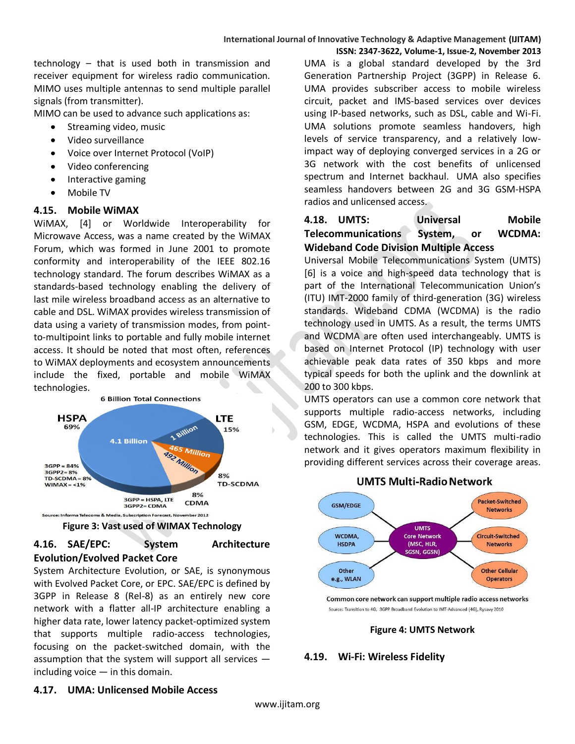technology – that is used both in transmission and receiver equipment for wireless radio communication. MIMO uses multiple antennas to send multiple parallel signals (from transmitter).

MIMO can be used to advance such applications as:

- Streaming video, music
- Video surveillance
- Voice over Internet Protocol (VoIP)
- Video conferencing
- Interactive gaming  $\bullet$
- Mobile TV

#### **4.15. Mobile WiMAX**

WiMAX, [4] or Worldwide Interoperability for Microwave Access, was a name created by the WiMAX Forum, which was formed in June 2001 to promote conformity and interoperability of the IEEE 802.16 technology standard. The forum describes WiMAX as a standards-based technology enabling the delivery of last mile wireless broadband access as an alternative to cable and DSL. WiMAX provides wireless transmission of data using a variety of transmission modes, from pointto-multipoint links to portable and fully mobile internet access. It should be noted that most often, references to WiMAX deployments and ecosystem announcements include the fixed, portable and mobile WiMAX technologies.



#### **Figure 3: Vast used of WIMAX Technology**

### **4.16. SAE/EPC: System Architecture Evolution/Evolved Packet Core**

System Architecture Evolution, or SAE, is synonymous with Evolved Packet Core, or EPC. SAE/EPC is defined by 3GPP in Release 8 (Rel-8) as an entirely new core network with a flatter all-IP architecture enabling a higher data rate, lower latency packet-optimized system that supports multiple radio-access technologies, focusing on the packet-switched domain, with the assumption that the system will support all services including voice — in this domain.

UMA is a global standard developed by the 3rd Generation Partnership Project (3GPP) in Release 6. UMA provides subscriber access to mobile wireless circuit, packet and IMS-based services over devices using IP-based networks, such as DSL, cable and Wi-Fi. UMA solutions promote seamless handovers, high levels of service transparency, and a relatively lowimpact way of deploying converged services in a 2G or 3G network with the cost benefits of unlicensed spectrum and Internet backhaul. UMA also specifies seamless handovers between 2G and 3G GSM-HSPA radios and unlicensed access.

### **4.18. UMTS: Universal Mobile Telecommunications System, or WCDMA: Wideband Code Division Multiple Access**

Universal Mobile Telecommunications System (UMTS) [6] is a voice and high-speed data technology that is part of the International Telecommunication Union's [\(ITU\)](http://www.itu.int/home/) IMT-2000 family of third-generation (3G) wireless standards. Wideband CDMA (WCDMA) is the radio technology used in UMTS. As a result, the terms UMTS and WCDMA are often used interchangeably. UMTS is based on Internet Protocol (IP) technology with user achievable peak data rates of 350 kbps and more typical speeds for both the uplink and the downlink at 200 to 300 kbps.

UMTS operators can use a common core network that supports multiple radio-access networks, including GSM, EDGE, WCDMA, HSPA and evolutions of these technologies. This is called the UMTS multi-radio network and it gives operators maximum flexibility in providing different services across their coverage areas.



#### **UMTS Multi-Radio Network**

Common core network can support multiple radio access networks Source: Transition to 4G, 3GPP Broadband Evolution to IMT-Advanced (4G), Rysavy 2010

#### **Figure 4: UMTS Network**

#### **4.19. Wi-Fi: Wireless Fidelity**

#### **4.17. UMA: Unlicensed Mobile Access**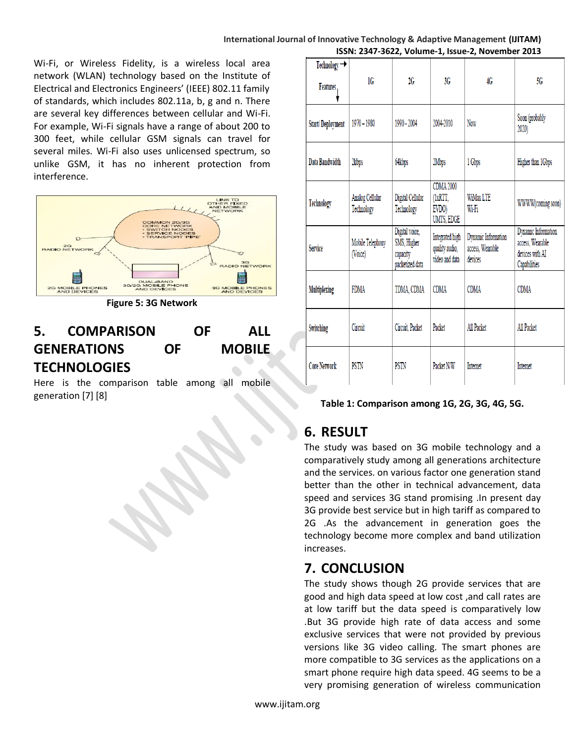#### **International Journal of Innovative Technology & Adaptive Management (IJITAM) ISSN: 2347-3622, Volume-1, Issue-2, November 2013**

Wi-Fi, or Wireless Fidelity, is a wireless local area network (WLAN) technology based on the Institute of Electrical and Electronics Engineers' ([IEEE\)](http://www.ieee.org/) 802.11 family of standards, which includes 802.11a, b, g and n. There are several key differences between cellular and Wi-Fi. For example, Wi-Fi signals have a range of about 200 to 300 feet, while cellular GSM signals can travel for several miles. Wi-Fi also uses unlicensed spectrum, so unlike GSM, it has no inherent protection from interference.



**Figure 5: 3G Network**

# **5. COMPARISON OF ALL GENERATIONS OF MOBILE TECHNOLOGIES**

Here is the comparison table among all mobile generation [7] [8]

| Technology $\rightarrow$<br>Features, | 1G                            | 2G                                                           | 3G                                                  | 4G                                                 | 5G                                                                         |
|---------------------------------------|-------------------------------|--------------------------------------------------------------|-----------------------------------------------------|----------------------------------------------------|----------------------------------------------------------------------------|
| <b>Start/Deployment</b>               | $1970 - 1980$                 | 1990 - 2004                                                  | 2004-2010                                           | Now                                                | Soon (probably<br>2020)                                                    |
| Data Bandwidth                        | 2kbps                         | 64kbps                                                       | 2Mbps                                               | 1 Gbps                                             | Higher than 1Gbps                                                          |
| Technology                            | Analog Cellular<br>Technology | Digital Cellular<br>Technology                               | <b>CDMA 2000</b><br>(1xRTT,<br>EVDO)<br>UMTS, EDGE  | <b>WiMax LTE</b><br>Wi-Fi                          | WWW(coming soon)                                                           |
| Service                               | Mobile Telephony<br>(Voice)   | Digital voice,<br>SMS, Higher<br>capacity<br>packetized data | Integrated high<br>quality audio,<br>video and data | Dynamic Information<br>access, Wearable<br>devices | Dynamic Information<br>access, Wearable<br>devices with AI<br>Capabilities |
| <b>Multiplexing</b>                   | <b>FDMA</b>                   | TDMA, CDMA                                                   | <b>CDMA</b>                                         | <b>CDMA</b>                                        | <b>CDMA</b>                                                                |
| Switching                             | Circuit                       | Circuit, Packet                                              | Packet                                              | All Packet                                         | All Packet                                                                 |
| <b>Core Network</b>                   | PSTN                          | PSTN                                                         | Packet N/W                                          | <b>Internet</b>                                    | Internet                                                                   |

#### **Table 1: Comparison among 1G, 2G, 3G, 4G, 5G.**

# **6. RESULT**

The study was based on 3G mobile technology and a comparatively study among all generations architecture and the services. on various factor one generation stand better than the other in technical advancement, data speed and services 3G stand promising .In present day 3G provide best service but in high tariff as compared to 2G .As the advancement in generation goes the technology become more complex and band utilization increases.

### **7. CONCLUSION**

The study shows though 2G provide services that are good and high data speed at low cost ,and call rates are at low tariff but the data speed is comparatively low .But 3G provide high rate of data access and some exclusive services that were not provided by previous versions like 3G video calling. The smart phones are more compatible to 3G services as the applications on a smart phone require high data speed. 4G seems to be a very promising generation of wireless communication